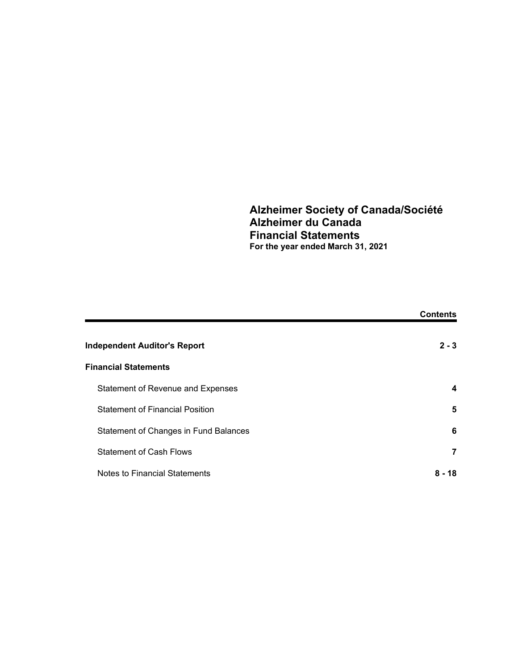# **Alzheimer Society of Canada/Société Alzheimer du Canada Financial Statements For the year ended March 31, 2021**

|                                          | <b>Contents</b> |
|------------------------------------------|-----------------|
| <b>Independent Auditor's Report</b>      | $2 - 3$         |
| <b>Financial Statements</b>              |                 |
| <b>Statement of Revenue and Expenses</b> | 4               |
| <b>Statement of Financial Position</b>   | 5               |
| Statement of Changes in Fund Balances    | 6               |
| <b>Statement of Cash Flows</b>           | 7               |
| Notes to Financial Statements            | - 18            |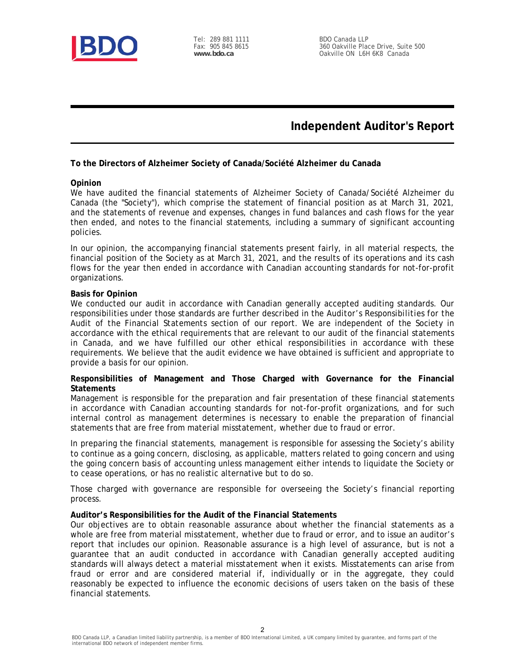

Tel: 289 881 1111 Fax: 905 845 8615 **www.bdo.ca** 

# **Independent Auditor's Report**

# **To the Directors of Alzheimer Society of Canada/Société Alzheimer du Canada**

# **Opinion**

We have audited the financial statements of Alzheimer Society of Canada/Société Alzheimer du Canada (the "Society"), which comprise the statement of financial position as at March 31, 2021, and the statements of revenue and expenses, changes in fund balances and cash flows for the year then ended, and notes to the financial statements, including a summary of significant accounting policies.

In our opinion, the accompanying financial statements present fairly, in all material respects, the financial position of the Society as at March 31, 2021, and the results of its operations and its cash flows for the year then ended in accordance with Canadian accounting standards for not-for-profit organizations.

## **Basis for Opinion**

We conducted our audit in accordance with Canadian generally accepted auditing standards. Our responsibilities under those standards are further described in the *Auditor's Responsibilities for the Audit of the Financial Statements* section of our report. We are independent of the Society in accordance with the ethical requirements that are relevant to our audit of the financial statements in Canada, and we have fulfilled our other ethical responsibilities in accordance with these requirements. We believe that the audit evidence we have obtained is sufficient and appropriate to provide a basis for our opinion.

# **Responsibilities of Management and Those Charged with Governance for the Financial Statements**

Management is responsible for the preparation and fair presentation of these financial statements in accordance with Canadian accounting standards for not-for-profit organizations, and for such internal control as management determines is necessary to enable the preparation of financial statements that are free from material misstatement, whether due to fraud or error.

In preparing the financial statements, management is responsible for assessing the Society's ability to continue as a going concern, disclosing, as applicable, matters related to going concern and using the going concern basis of accounting unless management either intends to liquidate the Society or to cease operations, or has no realistic alternative but to do so.

Those charged with governance are responsible for overseeing the Society's financial reporting process.

#### **Auditor's Responsibilities for the Audit of the Financial Statements**

Our objectives are to obtain reasonable assurance about whether the financial statements as a whole are free from material misstatement, whether due to fraud or error, and to issue an auditor's report that includes our opinion. Reasonable assurance is a high level of assurance, but is not a guarantee that an audit conducted in accordance with Canadian generally accepted auditing standards will always detect a material misstatement when it exists. Misstatements can arise from fraud or error and are considered material if, individually or in the aggregate, they could reasonably be expected to influence the economic decisions of users taken on the basis of these financial statements.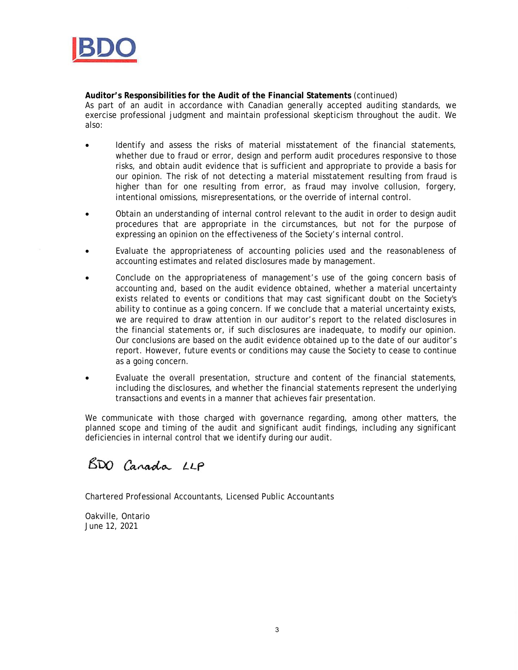

# **Auditor's Responsibilities for the Audit of the Financial Statements** (continued)

As part of an audit in accordance with Canadian generally accepted auditing standards, we exercise professional judgment and maintain professional skepticism throughout the audit. We also:

- Identify and assess the risks of material misstatement of the financial statements, whether due to fraud or error, design and perform audit procedures responsive to those risks, and obtain audit evidence that is sufficient and appropriate to provide a basis for our opinion. The risk of not detecting a material misstatement resulting from fraud is higher than for one resulting from error, as fraud may involve collusion, forgery, intentional omissions, misrepresentations, or the override of internal control.
- Obtain an understanding of internal control relevant to the audit in order to design audit procedures that are appropriate in the circumstances, but not for the purpose of expressing an opinion on the effectiveness of the Society's internal control.
- Evaluate the appropriateness of accounting policies used and the reasonableness of accounting estimates and related disclosures made by management.
- Conclude on the appropriateness of management's use of the going concern basis of accounting and, based on the audit evidence obtained, whether a material uncertainty exists related to events or conditions that may cast significant doubt on the Society's ability to continue as a going concern. If we conclude that a material uncertainty exists, we are required to draw attention in our auditor's report to the related disclosures in the financial statements or, if such disclosures are inadequate, to modify our opinion. Our conclusions are based on the audit evidence obtained up to the date of our auditor's report. However, future events or conditions may cause the Society to cease to continue as a going concern.
- Evaluate the overall presentation, structure and content of the financial statements, including the disclosures, and whether the financial statements represent the underlying transactions and events in a manner that achieves fair presentation.

We communicate with those charged with governance regarding, among other matters, the planned scope and timing of the audit and significant audit findings, including any significant deficiencies in internal control that we identify during our audit.

BDO Canada LLP

Chartered Professional Accountants, Licensed Public Accountants

Oakville, Ontario June 12, 2021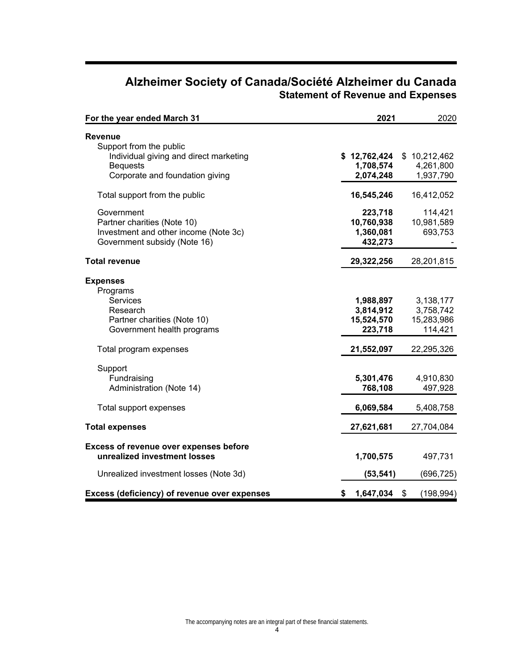| For the year ended March 31                   | 2021                                | 2020 |
|-----------------------------------------------|-------------------------------------|------|
| <b>Revenue</b>                                |                                     |      |
| Support from the public                       |                                     |      |
| Individual giving and direct marketing        | \$12,762,424<br>\$10,212,462        |      |
| <b>Bequests</b>                               | 1,708,574<br>4,261,800              |      |
| Corporate and foundation giving               | 1,937,790<br>2,074,248              |      |
| Total support from the public                 | 16,545,246<br>16,412,052            |      |
| Government                                    | 114,421<br>223,718                  |      |
| Partner charities (Note 10)                   | 10,760,938<br>10,981,589            |      |
| Investment and other income (Note 3c)         | 1,360,081<br>693,753                |      |
| Government subsidy (Note 16)                  | 432,273                             |      |
| <b>Total revenue</b>                          | 29,322,256<br>28,201,815            |      |
|                                               |                                     |      |
| <b>Expenses</b>                               |                                     |      |
| Programs                                      |                                     |      |
| Services                                      | 1,988,897<br>3,138,177              |      |
| Research                                      | 3,814,912<br>3,758,742              |      |
| Partner charities (Note 10)                   | 15,524,570<br>15,283,986            |      |
| Government health programs                    | 114,421<br>223,718                  |      |
| Total program expenses                        | 22,295,326<br>21,552,097            |      |
| Support                                       |                                     |      |
| Fundraising                                   | 4,910,830<br>5,301,476              |      |
| Administration (Note 14)                      | 497,928<br>768,108                  |      |
|                                               |                                     |      |
| Total support expenses                        | 6,069,584<br>5,408,758              |      |
| <b>Total expenses</b>                         | 27,621,681<br>27,704,084            |      |
| <b>Excess of revenue over expenses before</b> |                                     |      |
| unrealized investment losses                  | 1,700,575<br>497,731                |      |
| Unrealized investment losses (Note 3d)        | (53, 541)<br>(696,725)              |      |
|                                               |                                     |      |
| Excess (deficiency) of revenue over expenses  | \$<br>\$<br>1,647,034<br>(198, 994) |      |

# **Alzheimer Society of Canada/Société Alzheimer du Canada Statement of Revenue and Expenses**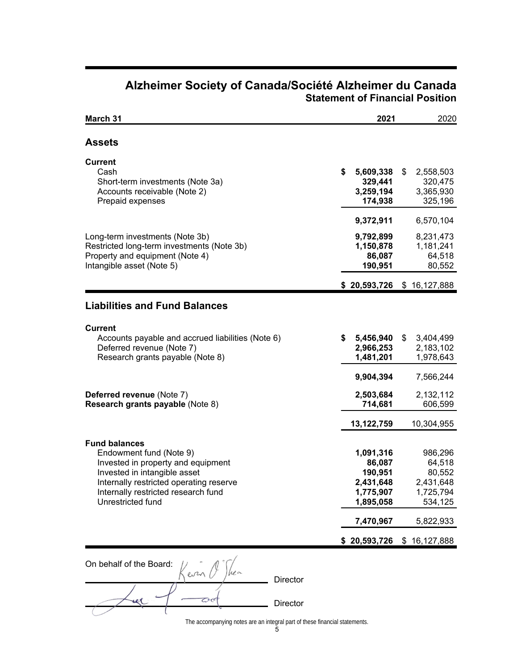| March 31                                                                                                                                                                                                                     | 2021                                                                  | 2020                                                             |
|------------------------------------------------------------------------------------------------------------------------------------------------------------------------------------------------------------------------------|-----------------------------------------------------------------------|------------------------------------------------------------------|
| <b>Assets</b>                                                                                                                                                                                                                |                                                                       |                                                                  |
| <b>Current</b><br>Cash<br>Short-term investments (Note 3a)<br>Accounts receivable (Note 2)<br>Prepaid expenses                                                                                                               | \$<br>5,609,338<br>329,441<br>3,259,194<br>174,938                    | \$<br>2,558,503<br>320,475<br>3,365,930<br>325,196               |
|                                                                                                                                                                                                                              | 9,372,911                                                             | 6,570,104                                                        |
| Long-term investments (Note 3b)<br>Restricted long-term investments (Note 3b)<br>Property and equipment (Note 4)<br>Intangible asset (Note 5)                                                                                | 9,792,899<br>1,150,878<br>86,087<br>190,951                           | 8,231,473<br>1,181,241<br>64,518<br>80,552                       |
|                                                                                                                                                                                                                              | \$ 20,593,726 \$ 16,127,888                                           |                                                                  |
| <b>Liabilities and Fund Balances</b>                                                                                                                                                                                         |                                                                       |                                                                  |
| <b>Current</b><br>Accounts payable and accrued liabilities (Note 6)<br>Deferred revenue (Note 7)<br>Research grants payable (Note 8)                                                                                         | \$<br>5,456,940<br>2,966,253<br>1,481,201                             | \$<br>3,404,499<br>2,183,102<br>1,978,643                        |
|                                                                                                                                                                                                                              | 9,904,394                                                             | 7,566,244                                                        |
| Deferred revenue (Note 7)<br>Research grants payable (Note 8)                                                                                                                                                                | 2,503,684<br>714,681                                                  | 2,132,112<br>606,599                                             |
|                                                                                                                                                                                                                              | 13,122,759                                                            | 10,304,955                                                       |
| <b>Fund balances</b><br>Endowment fund (Note 9)<br>Invested in property and equipment<br>Invested in intangible asset<br>Internally restricted operating reserve<br>Internally restricted research fund<br>Unrestricted fund | 1,091,316<br>86,087<br>190,951<br>2,431,648<br>1,775,907<br>1,895,058 | 986,296<br>64,518<br>80,552<br>2,431,648<br>1,725,794<br>534,125 |
|                                                                                                                                                                                                                              | 7,470,967                                                             | 5,822,933                                                        |
|                                                                                                                                                                                                                              | \$20,593,726                                                          | \$16,127,888                                                     |

# **Alzheimer Society of Canada/Société Alzheimer du Canada Statement of Financial Position**

| On behalf of the Board: | $\mathcal{M}$ $\sim$ |                 |
|-------------------------|----------------------|-----------------|
|                         |                      | <b>Director</b> |
|                         |                      | Director        |
|                         |                      |                 |

The accompanying notes are an integral part of these financial statements.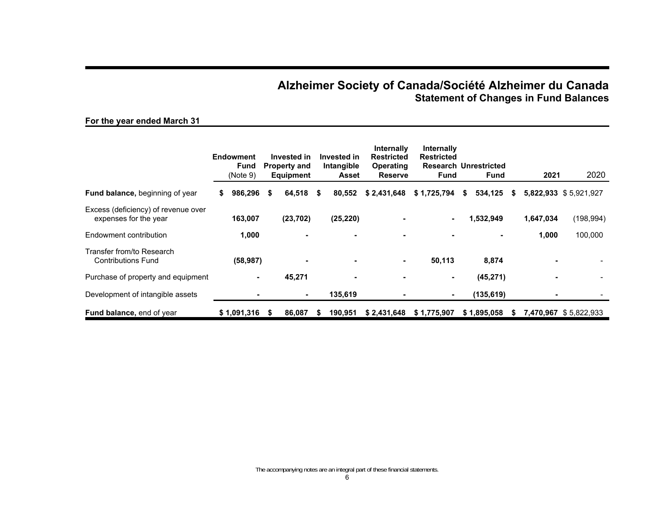# **Alzheimer Society of Canada/Société Alzheimer du Canada Statement of Changes in Fund Balances**

# **For the year ended March 31**

|                                                              |   | <b>Endowment</b><br><b>Fund</b><br>(Note 9) |   | Invested in<br><b>Property and</b><br><b>Equipment</b> |    | Invested in<br>Intangible<br>Asset | Internally<br><b>Restricted</b><br><b>Operating</b><br><b>Reserve</b> | Internally<br><b>Restricted</b><br><b>Fund</b> | <b>Research Unrestricted</b><br>Fund |             |    | 2021      | 2020                  |
|--------------------------------------------------------------|---|---------------------------------------------|---|--------------------------------------------------------|----|------------------------------------|-----------------------------------------------------------------------|------------------------------------------------|--------------------------------------|-------------|----|-----------|-----------------------|
| Fund balance, beginning of year                              | S | 986,296                                     | S | 64,518                                                 | S  | 80,552                             | \$2,431,648                                                           | \$1,725,794                                    | S.                                   | 534,125     | S  |           | 5,822,933 \$5,921,927 |
| Excess (deficiency) of revenue over<br>expenses for the year |   | 163,007                                     |   | (23, 702)                                              |    | (25, 220)                          |                                                                       | $\blacksquare$                                 |                                      | 1,532,949   |    | 1,647,034 | (198, 994)            |
| Endowment contribution                                       |   | 1,000                                       |   |                                                        |    |                                    |                                                                       |                                                |                                      |             |    | 1,000     | 100,000               |
| Transfer from/to Research<br><b>Contributions Fund</b>       |   | (58, 987)                                   |   |                                                        |    |                                    | $\overline{\phantom{a}}$                                              | 50,113                                         |                                      | 8,874       |    |           |                       |
| Purchase of property and equipment                           |   |                                             |   | 45,271                                                 |    |                                    |                                                                       | ۰                                              |                                      | (45, 271)   |    |           |                       |
| Development of intangible assets                             |   |                                             |   | ۰.                                                     |    | 135,619                            |                                                                       | ٠                                              |                                      | (135, 619)  |    |           |                       |
| <b>Fund balance, end of year</b>                             |   | \$1,091,316                                 | S | 86,087                                                 | S. | 190,951                            | \$2,431,648                                                           | \$1,775,907                                    |                                      | \$1,895,058 | S. |           | 7,470,967 \$5,822,933 |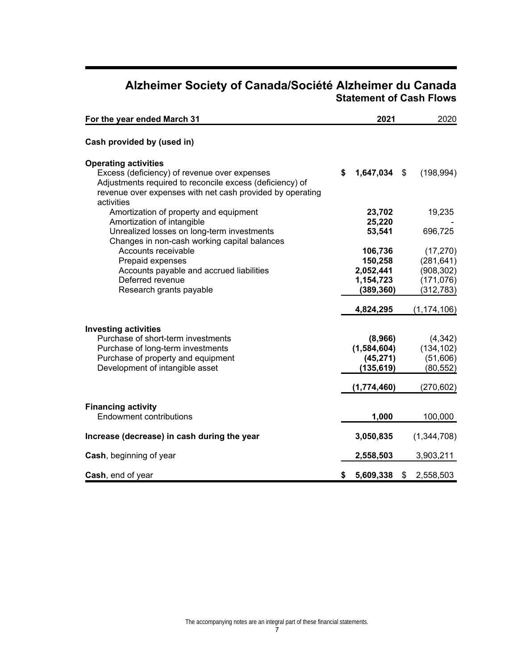# **Alzheimer Society of Canada/Société Alzheimer du Canada Statement of Cash Flows**

| For the year ended March 31                                                                                                                                                         | 2021            | 2020             |
|-------------------------------------------------------------------------------------------------------------------------------------------------------------------------------------|-----------------|------------------|
| Cash provided by (used in)                                                                                                                                                          |                 |                  |
| <b>Operating activities</b>                                                                                                                                                         |                 |                  |
| Excess (deficiency) of revenue over expenses<br>Adjustments required to reconcile excess (deficiency) of<br>revenue over expenses with net cash provided by operating<br>activities | \$<br>1,647,034 | \$<br>(198, 994) |
| Amortization of property and equipment                                                                                                                                              | 23,702          | 19,235           |
| Amortization of intangible                                                                                                                                                          | 25,220          |                  |
| Unrealized losses on long-term investments                                                                                                                                          | 53,541          | 696,725          |
| Changes in non-cash working capital balances<br>Accounts receivable                                                                                                                 | 106,736         | (17, 270)        |
| Prepaid expenses                                                                                                                                                                    | 150,258         | (281, 641)       |
| Accounts payable and accrued liabilities                                                                                                                                            | 2,052,441       | (908, 302)       |
| Deferred revenue                                                                                                                                                                    | 1,154,723       | (171, 076)       |
| Research grants payable                                                                                                                                                             | (389, 360)      | (312, 783)       |
|                                                                                                                                                                                     | 4,824,295       | (1, 174, 106)    |
| <b>Investing activities</b>                                                                                                                                                         |                 |                  |
| Purchase of short-term investments                                                                                                                                                  | (8,966)         | (4, 342)         |
| Purchase of long-term investments                                                                                                                                                   | (1,584,604)     | (134, 102)       |
| Purchase of property and equipment                                                                                                                                                  | (45, 271)       | (51,606)         |
| Development of intangible asset                                                                                                                                                     | (135, 619)      | (80, 552)        |
|                                                                                                                                                                                     | (1,774,460)     | (270, 602)       |
| <b>Financing activity</b>                                                                                                                                                           |                 |                  |
| <b>Endowment contributions</b>                                                                                                                                                      | 1,000           | 100,000          |
| Increase (decrease) in cash during the year                                                                                                                                         | 3,050,835       | (1,344,708)      |
| Cash, beginning of year                                                                                                                                                             | 2,558,503       | 3,903,211        |
| Cash, end of year                                                                                                                                                                   | \$<br>5,609,338 | \$<br>2,558,503  |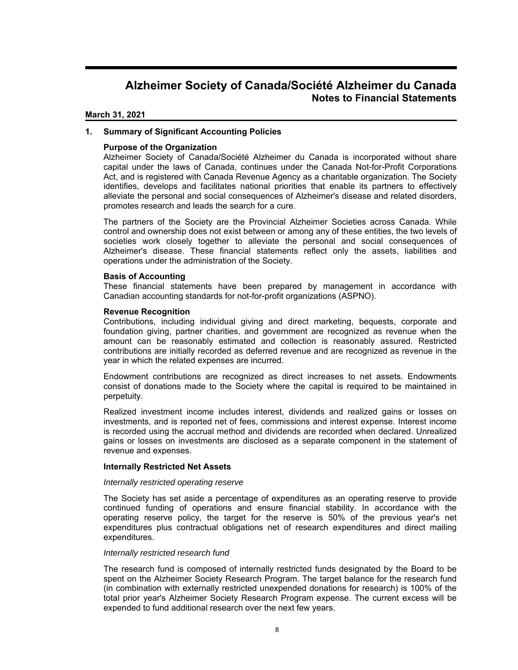## **March 31, 2021**

## **1. Summary of Significant Accounting Policies**

## **Purpose of the Organization**

Alzheimer Society of Canada/Société Alzheimer du Canada is incorporated without share capital under the laws of Canada, continues under the Canada Not-for-Profit Corporations Act, and is registered with Canada Revenue Agency as a charitable organization. The Society identifies, develops and facilitates national priorities that enable its partners to effectively alleviate the personal and social consequences of Alzheimer's disease and related disorders, promotes research and leads the search for a cure.

The partners of the Society are the Provincial Alzheimer Societies across Canada. While control and ownership does not exist between or among any of these entities, the two levels of societies work closely together to alleviate the personal and social consequences of Alzheimer's disease. These financial statements reflect only the assets, liabilities and operations under the administration of the Society.

#### **Basis of Accounting**

These financial statements have been prepared by management in accordance with Canadian accounting standards for not-for-profit organizations (ASPNO).

#### **Revenue Recognition**

Contributions, including individual giving and direct marketing, bequests, corporate and foundation giving, partner charities, and government are recognized as revenue when the amount can be reasonably estimated and collection is reasonably assured. Restricted contributions are initially recorded as deferred revenue and are recognized as revenue in the year in which the related expenses are incurred.

Endowment contributions are recognized as direct increases to net assets. Endowments consist of donations made to the Society where the capital is required to be maintained in perpetuity.

Realized investment income includes interest, dividends and realized gains or losses on investments, and is reported net of fees, commissions and interest expense. Interest income is recorded using the accrual method and dividends are recorded when declared. Unrealized gains or losses on investments are disclosed as a separate component in the statement of revenue and expenses.

## **Internally Restricted Net Assets**

#### *Internally restricted operating reserve*

The Society has set aside a percentage of expenditures as an operating reserve to provide continued funding of operations and ensure financial stability. In accordance with the operating reserve policy, the target for the reserve is 50% of the previous year's net expenditures plus contractual obligations net of research expenditures and direct mailing expenditures.

### *Internally restricted research fund*

The research fund is composed of internally restricted funds designated by the Board to be spent on the Alzheimer Society Research Program. The target balance for the research fund (in combination with externally restricted unexpended donations for research) is 100% of the total prior year's Alzheimer Society Research Program expense. The current excess will be expended to fund additional research over the next few years.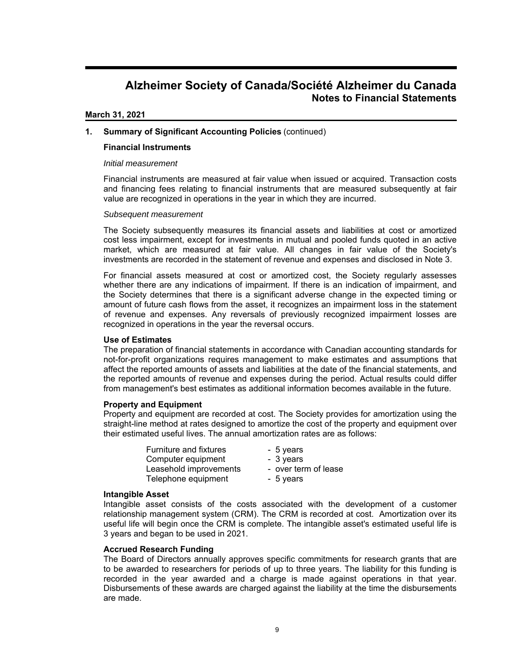### **March 31, 2021**

## **1. Summary of Significant Accounting Policies** (continued)

### **Financial Instruments**

## *Initial measurement*

Financial instruments are measured at fair value when issued or acquired. Transaction costs and financing fees relating to financial instruments that are measured subsequently at fair value are recognized in operations in the year in which they are incurred.

#### *Subsequent measurement*

The Society subsequently measures its financial assets and liabilities at cost or amortized cost less impairment, except for investments in mutual and pooled funds quoted in an active market, which are measured at fair value. All changes in fair value of the Society's investments are recorded in the statement of revenue and expenses and disclosed in Note 3.

For financial assets measured at cost or amortized cost, the Society regularly assesses whether there are any indications of impairment. If there is an indication of impairment, and the Society determines that there is a significant adverse change in the expected timing or amount of future cash flows from the asset, it recognizes an impairment loss in the statement of revenue and expenses. Any reversals of previously recognized impairment losses are recognized in operations in the year the reversal occurs.

## **Use of Estimates**

The preparation of financial statements in accordance with Canadian accounting standards for not-for-profit organizations requires management to make estimates and assumptions that affect the reported amounts of assets and liabilities at the date of the financial statements, and the reported amounts of revenue and expenses during the period. Actual results could differ from management's best estimates as additional information becomes available in the future.

# **Property and Equipment**

Property and equipment are recorded at cost. The Society provides for amortization using the straight-line method at rates designed to amortize the cost of the property and equipment over their estimated useful lives. The annual amortization rates are as follows:

| Furniture and fixtures | - 5 years            |
|------------------------|----------------------|
| Computer equipment     | - 3 years            |
| Leasehold improvements | - over term of lease |
| Telephone equipment    | - 5 years            |
|                        |                      |

#### **Intangible Asset**

Intangible asset consists of the costs associated with the development of a customer relationship management system (CRM). The CRM is recorded at cost. Amortization over its useful life will begin once the CRM is complete. The intangible asset's estimated useful life is 3 years and began to be used in 2021.

## **Accrued Research Funding**

The Board of Directors annually approves specific commitments for research grants that are to be awarded to researchers for periods of up to three years. The liability for this funding is recorded in the year awarded and a charge is made against operations in that year. Disbursements of these awards are charged against the liability at the time the disbursements are made.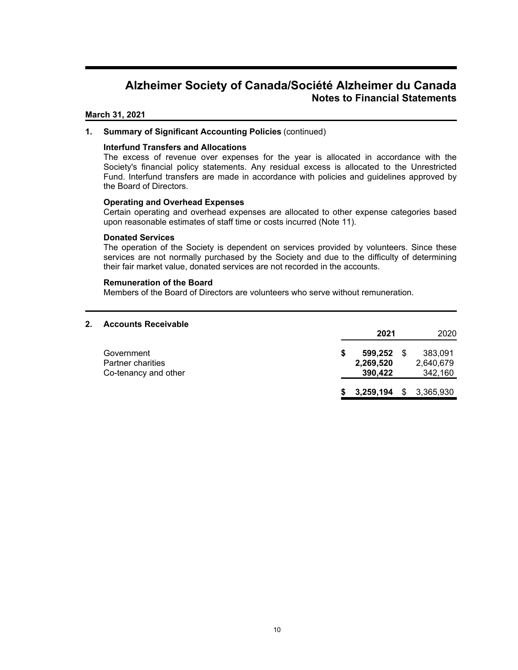### **March 31, 2021**

# **1. Summary of Significant Accounting Policies** (continued)

## **Interfund Transfers and Allocations**

The excess of revenue over expenses for the year is allocated in accordance with the Society's financial policy statements. Any residual excess is allocated to the Unrestricted Fund. Interfund transfers are made in accordance with policies and guidelines approved by the Board of Directors.

## **Operating and Overhead Expenses**

Certain operating and overhead expenses are allocated to other expense categories based upon reasonable estimates of staff time or costs incurred (Note 11).

# **Donated Services**

The operation of the Society is dependent on services provided by volunteers. Since these services are not normally purchased by the Society and due to the difficulty of determining their fair market value, donated services are not recorded in the accounts.

## **Remuneration of the Board**

Members of the Board of Directors are volunteers who serve without remuneration.

## **2. Accounts Receivable**

|                                                                | 2021                            |      |                                 |
|----------------------------------------------------------------|---------------------------------|------|---------------------------------|
| Government<br><b>Partner charities</b><br>Co-tenancy and other | 599.252<br>2,269,520<br>390,422 | - \$ | 383,091<br>2,640,679<br>342,160 |
|                                                                | 3,259,194                       | - S  | 3,365,930                       |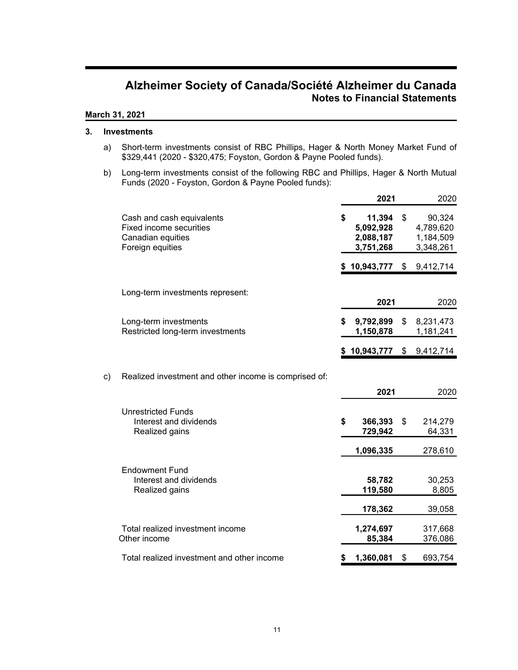# **March 31, 2021**

# **3. Investments**

- a) Short-term investments consist of RBC Phillips, Hager & North Money Market Fund of \$329,441 (2020 - \$320,475; Foyston, Gordon & Payne Pooled funds).
- b) Long-term investments consist of the following RBC and Phillips, Hager & North Mutual Funds (2020 - Foyston, Gordon & Payne Pooled funds):

|                                       |                                                                       |    | 2021                                          | 2020                                                |
|---------------------------------------|-----------------------------------------------------------------------|----|-----------------------------------------------|-----------------------------------------------------|
| Canadian equities<br>Foreign equities | Cash and cash equivalents<br>Fixed income securities                  | \$ | 11,394<br>5,092,928<br>2,088,187<br>3,751,268 | \$<br>90,324<br>4,789,620<br>1,184,509<br>3,348,261 |
|                                       |                                                                       |    | \$10,943,777                                  | \$<br>9,412,714                                     |
|                                       | Long-term investments represent:                                      |    | 2021                                          | 2020                                                |
|                                       | Long-term investments<br>Restricted long-term investments             | S  | 9,792,899<br>1,150,878                        | \$<br>8,231,473<br>1,181,241                        |
|                                       |                                                                       |    | \$10,943,777                                  | \$<br>9,412,714                                     |
| c)                                    | Realized investment and other income is comprised of:                 |    | 2021                                          | 2020                                                |
|                                       | <b>Unrestricted Funds</b><br>Interest and dividends<br>Realized gains | \$ | 366,393<br>729,942                            | \$<br>214,279<br>64,331                             |
|                                       |                                                                       |    | 1,096,335                                     | 278,610                                             |
| <b>Endowment Fund</b>                 | Interest and dividends<br>Realized gains                              |    | 58,782<br>119,580                             | 30,253<br>8,805                                     |
|                                       |                                                                       |    | 178,362                                       | 39,058                                              |
| Other income                          | Total realized investment income                                      |    | 1,274,697<br>85,384                           | 317,668<br>376,086                                  |
|                                       | Total realized investment and other income                            | \$ | 1,360,081                                     | \$<br>693,754                                       |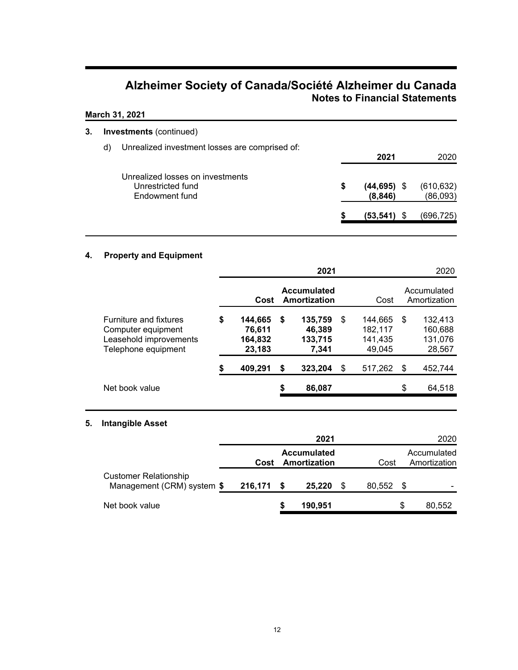# **March 31, 2021**

# **3. Investments** (continued) d) Unrealized investment losses are comprised of: **2021** 2020 Unrealized losses on investments Unrestricted fund **\$ (44,695)** \$ (610,632) Endowment fund **(8,846)** (86,093) **\$ (53,541)** \$ (696,725)

# **4. Property and Equipment**

|                                                                                                      |                                              | 2021                                        |                                               |    | 2020                                    |
|------------------------------------------------------------------------------------------------------|----------------------------------------------|---------------------------------------------|-----------------------------------------------|----|-----------------------------------------|
|                                                                                                      | Cost                                         | <b>Accumulated</b><br>Amortization          | Cost                                          |    | Accumulated<br>Amortization             |
| <b>Furniture and fixtures</b><br>Computer equipment<br>Leasehold improvements<br>Telephone equipment | \$<br>144,665<br>76,611<br>164,832<br>23,183 | \$<br>135,759<br>46,389<br>133,715<br>7,341 | \$<br>144,665<br>182,117<br>141,435<br>49,045 | S  | 132,413<br>160,688<br>131,076<br>28,567 |
|                                                                                                      | \$<br>409,291                                | \$<br>323,204                               | \$<br>517,262                                 | \$ | 452,744                                 |
| Net book value                                                                                       |                                              | \$<br>86,087                                |                                               | \$ | 64,518                                  |

# **5. Intangible Asset**

|                                                            |              |   | 2021                               |      |        |      | 2020                        |
|------------------------------------------------------------|--------------|---|------------------------------------|------|--------|------|-----------------------------|
|                                                            | Cost         |   | <b>Accumulated</b><br>Amortization |      | Cost   |      | Accumulated<br>Amortization |
| <b>Customer Relationship</b><br>Management (CRM) system \$ | $216,171$ \$ |   | 25.220                             | - \$ | 80.552 | - \$ | -                           |
| Net book value                                             |              | S | 190.951                            |      |        |      | 80,552                      |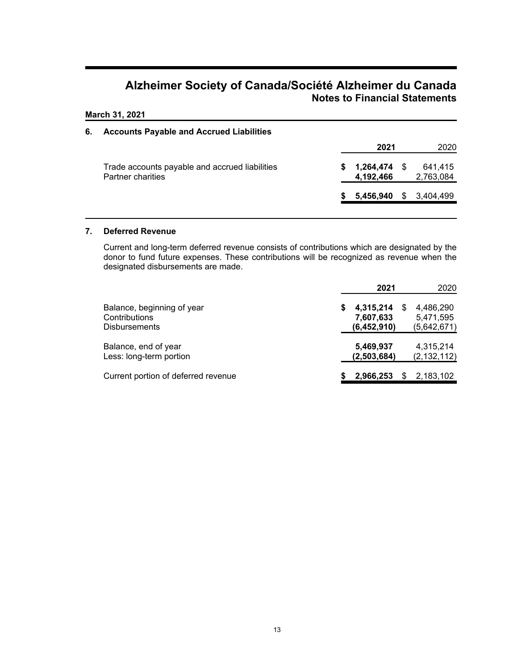# **March 31, 2021**

| <b>Accounts Payable and Accrued Liabilities</b>                     |   |           |                                          |
|---------------------------------------------------------------------|---|-----------|------------------------------------------|
|                                                                     |   | 2021      | 2020                                     |
| Trade accounts payable and accrued liabilities<br>Partner charities | S | 4,192,466 | 641,415<br>2,763,084                     |
|                                                                     |   |           |                                          |
|                                                                     |   |           | $1,264,474$ \$<br>5,456,940 \$ 3,404,499 |

# **7. Deferred Revenue**

Current and long-term deferred revenue consists of contributions which are designated by the donor to fund future expenses. These contributions will be recognized as revenue when the designated disbursements are made.

|                                                                     |   | 2021                                    | 2020                                  |
|---------------------------------------------------------------------|---|-----------------------------------------|---------------------------------------|
| Balance, beginning of year<br>Contributions<br><b>Disbursements</b> | S | 4,315,214<br>7,607,633<br>(6, 452, 910) | 4,486,290<br>5,471,595<br>(5,642,671) |
| Balance, end of year<br>Less: long-term portion                     |   | 5,469,937<br>(2,503,684)                | 4,315,214<br>(2, 132, 112)            |
| Current portion of deferred revenue                                 |   | 2,966,253                               | 2,183,102                             |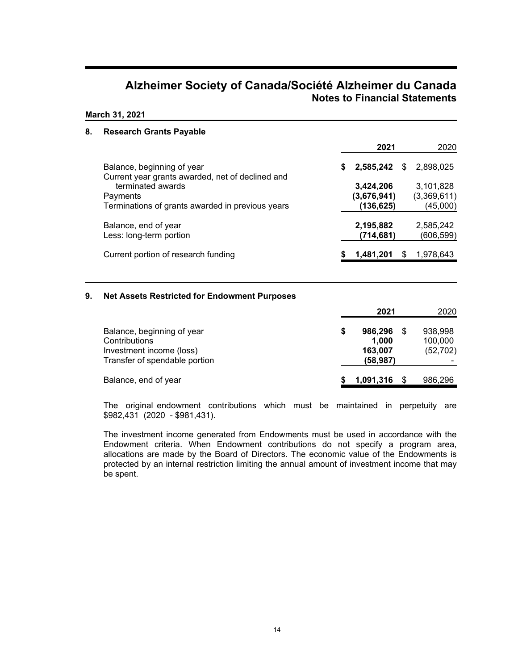### **March 31, 2021**

# **8. Research Grants Payable**

|                                                                                | 2021 |                           | 2020 |                         |
|--------------------------------------------------------------------------------|------|---------------------------|------|-------------------------|
| Balance, beginning of year<br>Current year grants awarded, net of declined and | S    | $2,585,242$ \$            |      | 2,898,025               |
| terminated awards                                                              |      | 3,424,206                 |      | 3,101,828               |
| Payments<br>Terminations of grants awarded in previous years                   |      | (3,676,941)<br>(136, 625) |      | (3,369,611)<br>(45,000) |
| Balance, end of year<br>Less: long-term portion                                |      | 2,195,882<br>(714,681)    |      | 2,585,242<br>(606,599)  |
| Current portion of research funding                                            |      | 1,481,201                 |      | 1,978,643               |

## **9. Net Assets Restricted for Endowment Purposes**

|                                                                                                          |   | 2021                                    | 2020                            |
|----------------------------------------------------------------------------------------------------------|---|-----------------------------------------|---------------------------------|
| Balance, beginning of year<br>Contributions<br>Investment income (loss)<br>Transfer of spendable portion | S | 986,296<br>1.000<br>163,007<br>(58,987) | 938,998<br>100,000<br>(52, 702) |
| Balance, end of year                                                                                     |   | 1,091,316                               | 986,296                         |

The original endowment contributions which must be maintained in perpetuity are \$982,431 (2020 - \$981,431).

The investment income generated from Endowments must be used in accordance with the Endowment criteria. When Endowment contributions do not specify a program area, allocations are made by the Board of Directors. The economic value of the Endowments is protected by an internal restriction limiting the annual amount of investment income that may be spent.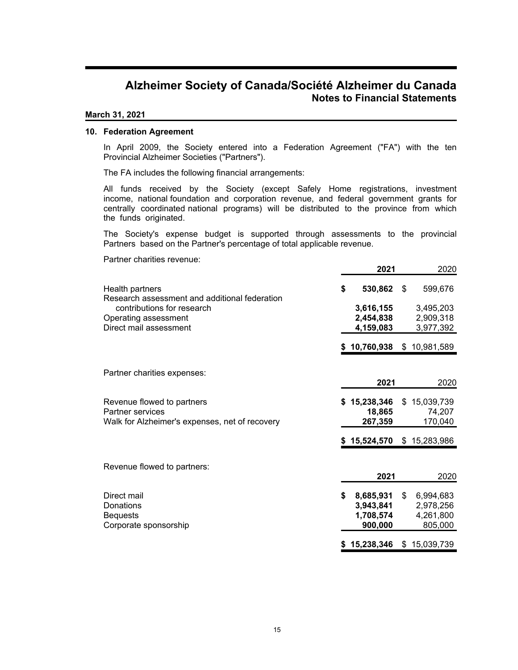### **March 31, 2021**

### **10. Federation Agreement**

In April 2009, the Society entered into a Federation Agreement ("FA") with the ten Provincial Alzheimer Societies ("Partners").

The FA includes the following financial arrangements:

All funds received by the Society (except Safely Home registrations, investment income, national foundation and corporation revenue, and federal government grants for centrally coordinated national programs) will be distributed to the province from which the funds originated.

The Society's expense budget is supported through assessments to the provincial Partners based on the Partner's percentage of total applicable revenue.

Partner charities revenue:

|                                                                        | 2021         | 2020            |
|------------------------------------------------------------------------|--------------|-----------------|
| \$<br>Health partners<br>Research assessment and additional federation | 530,862      | \$<br>599,676   |
| contributions for research                                             | 3,616,155    | 3,495,203       |
| Operating assessment                                                   | 2,454,838    | 2,909,318       |
| Direct mail assessment                                                 | 4,159,083    | 3,977,392       |
|                                                                        | \$10,760,938 | \$10,981,589    |
| Partner charities expenses:                                            |              |                 |
|                                                                        | 2021         | 2020            |
| Revenue flowed to partners<br>\$                                       | 15,238,346   | \$15,039,739    |
| <b>Partner services</b>                                                | 18,865       | 74,207          |
| Walk for Alzheimer's expenses, net of recovery                         | 267.359      | 170.040         |
|                                                                        | \$15,524,570 | \$15,283,986    |
| Revenue flowed to partners:                                            |              |                 |
|                                                                        | 2021         | 2020            |
| Direct mail<br>\$                                                      | 8,685,931    | \$<br>6,994,683 |
| Donations                                                              | 3,943,841    | 2,978,256       |
| <b>Bequests</b>                                                        | 1,708,574    | 4,261,800       |
| Corporate sponsorship                                                  | 900,000      | 805,000         |
|                                                                        | 15,238,346   | \$15,039,739    |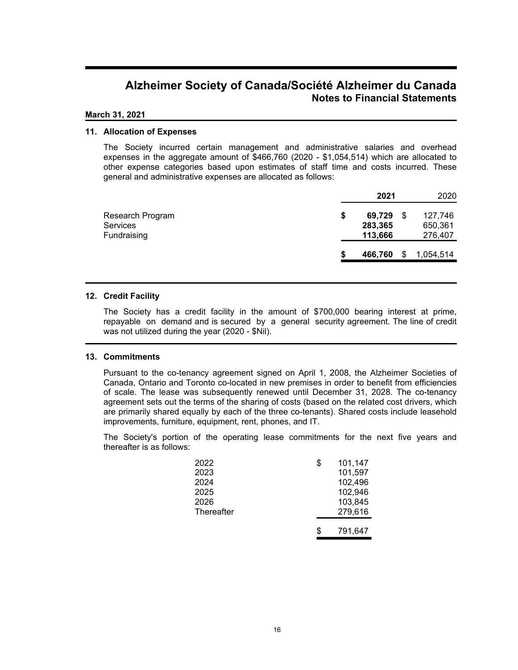### **March 31, 2021**

# **11. Allocation of Expenses**

The Society incurred certain management and administrative salaries and overhead expenses in the aggregate amount of \$466,760 (2020 - \$1,054,514) which are allocated to other expense categories based upon estimates of staff time and costs incurred. These general and administrative expenses are allocated as follows:

|                                             |    | 2021                         |    |                               |  |
|---------------------------------------------|----|------------------------------|----|-------------------------------|--|
| Research Program<br>Services<br>Fundraising | \$ | 69,729<br>283,365<br>113,666 | \$ | 127,746<br>650,361<br>276,407 |  |
|                                             | S  | 466,760                      |    | 1,054,514                     |  |

# **12. Credit Facility**

The Society has a credit facility in the amount of \$700,000 bearing interest at prime, repayable on demand and is secured by a general security agreement. The line of credit was not utilized during the year (2020 - \$Nil).

# **13. Commitments**

Pursuant to the co-tenancy agreement signed on April 1, 2008, the Alzheimer Societies of Canada, Ontario and Toronto co-located in new premises in order to benefit from efficiencies of scale. The lease was subsequently renewed until December 31, 2028. The co-tenancy agreement sets out the terms of the sharing of costs (based on the related cost drivers, which are primarily shared equally by each of the three co-tenants). Shared costs include leasehold improvements, furniture, equipment, rent, phones, and IT.

The Society's portion of the operating lease commitments for the next five years and thereafter is as follows:

| 2022<br>2023<br>2024<br>2025<br>2026<br>Thereafter | \$<br>101,147<br>101,597<br>102,496<br>102,946<br>103,845<br>279,616 |
|----------------------------------------------------|----------------------------------------------------------------------|
|                                                    | 791.647                                                              |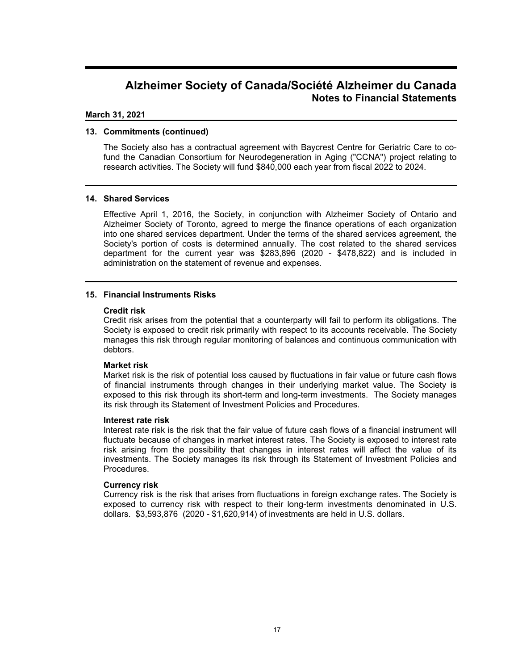#### **March 31, 2021**

### **13. Commitments (continued)**

The Society also has a contractual agreement with Baycrest Centre for Geriatric Care to cofund the Canadian Consortium for Neurodegeneration in Aging ("CCNA") project relating to research activities. The Society will fund \$840,000 each year from fiscal 2022 to 2024.

#### **14. Shared Services**

Effective April 1, 2016, the Society, in conjunction with Alzheimer Society of Ontario and Alzheimer Society of Toronto, agreed to merge the finance operations of each organization into one shared services department. Under the terms of the shared services agreement, the Society's portion of costs is determined annually. The cost related to the shared services department for the current year was \$283,896 (2020 - \$478,822) and is included in administration on the statement of revenue and expenses.

## **15. Financial Instruments Risks**

#### **Credit risk**

Credit risk arises from the potential that a counterparty will fail to perform its obligations. The Society is exposed to credit risk primarily with respect to its accounts receivable. The Society manages this risk through regular monitoring of balances and continuous communication with debtors.

### **Market risk**

Market risk is the risk of potential loss caused by fluctuations in fair value or future cash flows of financial instruments through changes in their underlying market value. The Society is exposed to this risk through its short-term and long-term investments. The Society manages its risk through its Statement of Investment Policies and Procedures.

### **Interest rate risk**

Interest rate risk is the risk that the fair value of future cash flows of a financial instrument will fluctuate because of changes in market interest rates. The Society is exposed to interest rate risk arising from the possibility that changes in interest rates will affect the value of its investments. The Society manages its risk through its Statement of Investment Policies and Procedures.

#### **Currency risk**

Currency risk is the risk that arises from fluctuations in foreign exchange rates. The Society is exposed to currency risk with respect to their long-term investments denominated in U.S. dollars. \$3,593,876 (2020 - \$1,620,914) of investments are held in U.S. dollars.